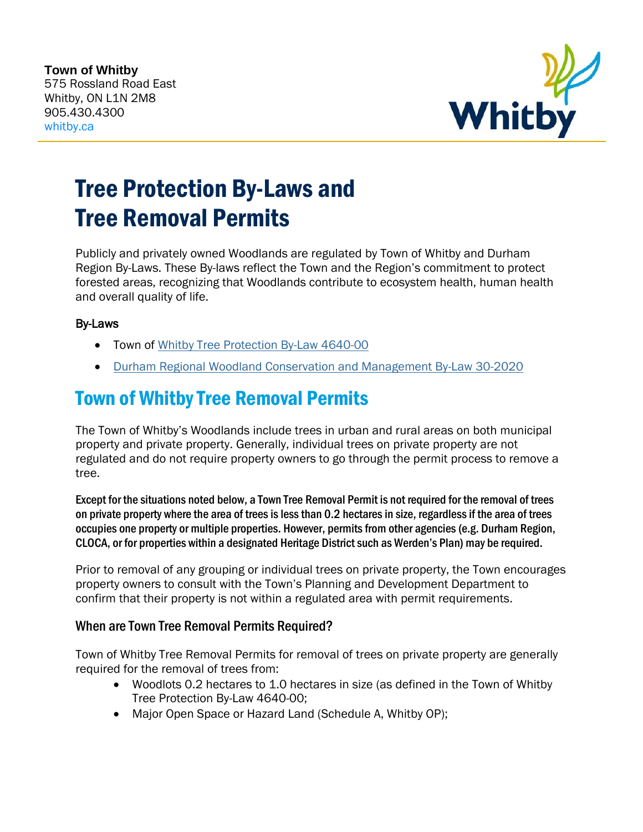

# Tree Protection By-Laws and Tree Removal Permits

Publicly and privately owned Woodlands are regulated by Town of Whitby and Durham Region By-Laws. These By-laws reflect the Town and the Region's commitment to protect forested areas, recognizing that Woodlands contribute to ecosystem health, human health and overall quality of life.

#### By-Laws

- Town of [Whitby Tree Protection By-Law 4640-00](https://www.whitby.ca/Modules/Bylaws/Bylaw/Details/0ebf95ea-c80b-4f8d-920b-bba7494fab62)
- [Durham Regional Woodland Conservation and Management By-Law 30-2020](https://www.durham.ca/en/doing-business/resources/Documents/PlanningandDevelopment/By-law-Number-30-2020.pdf)

# Town of Whitby Tree Removal Permits

The Town of Whitby's Woodlands include trees in urban and rural areas on both municipal property and private property. Generally, individual trees on private property are not regulated and do not require property owners to go through the permit process to remove a tree.

Except for the situations noted below, a Town Tree Removal Permit is not required for the removal of trees on private property where the area of trees is less than 0.2 hectares in size, regardless if the area of trees occupies one property or multiple properties. However, permits from other agencies (e.g. Durham Region, CLOCA, or for properties within a designated Heritage District such as Werden's Plan) may be required.

Prior to removal of any grouping or individual trees on private property, the Town encourages property owners to consult with the Town's Planning and Development Department to confirm that their property is not within a regulated area with permit requirements.

## When are Town Tree Removal Permits Required?

Town of Whitby Tree Removal Permits for removal of trees on private property are generally required for the removal of trees from:

- Woodlots 0.2 hectares to 1.0 hectares in size (as defined in the Town of Whitby Tree Protection By-Law 4640-00;
- Major Open Space or Hazard Land (Schedule A, Whitby OP);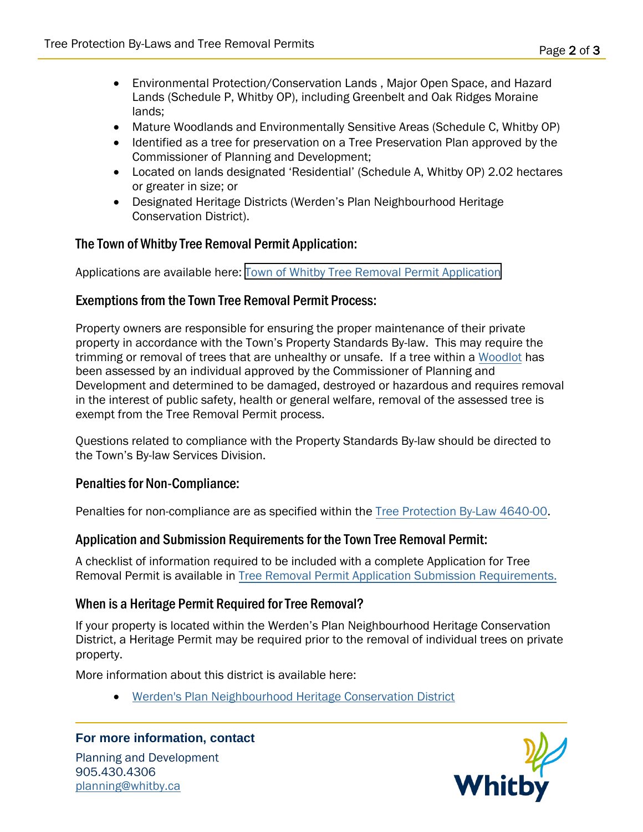- Environmental Protection/Conservation Lands , Major Open Space, and Hazard Lands (Schedule P, Whitby OP), including Greenbelt and Oak Ridges Moraine lands;
- Mature Woodlands and Environmentally Sensitive Areas (Schedule C, Whitby OP)
- Identified as a tree for preservation on a Tree Preservation Plan approved by the Commissioner of Planning and Development;
- Located on lands designated 'Residential' (Schedule A, Whitby OP) 2.02 hectares or greater in size; or
- Designated Heritage Districts (Werden's Plan Neighbourhood Heritage Conservation District).

## The Town of Whitby Tree Removal Permit Application:

Applications are available here: [Town of Whitby Tree Removal Permit Application](https://www.whitby.ca/en/work/resources/Tree-Protection-Requirements-for-New-Development/pl-trees_Tree_Removal_Permit_Application_Submission_Requirements.pdf)

#### Exemptions from the Town Tree Removal Permit Process:

Property owners are responsible for ensuring the proper maintenance of their private property in accordance with the Town's Property Standards By-law. This may require the trimming or removal of trees that are unhealthy or unsafe. If a tree within a [Woodlot](https://www.whitby.ca/en/work/resources/Tree-Protection-Requirements-for-New-Development/pl-trees_Glossary_of_Tree_Terms.pdf) has been assessed by an individual approved by the Commissioner of Planning and Development and determined to be damaged, destroyed or hazardous and requires removal in the interest of public safety, health or general welfare, removal of the assessed tree is exempt from the Tree Removal Permit process.

Questions related to compliance with the Property Standards By-law should be directed to the Town's By-law Services Division.

#### Penalties for Non-Compliance:

Penalties for non-compliance are as specified within the [Tree Protection By-Law 4640-00.](https://www.whitby.ca/Modules/Bylaws/Bylaw/Details/0ebf95ea-c80b-4f8d-920b-bba7494fab62)

#### Application and Submission Requirements for the Town Tree Removal Permit:

A checklist of information required to be included with a complete Application for Tree Removal Permit is available in [Tree Removal Permit Application Submission Requirements.](https://www.whitby.ca/en/townhall/resources/pl-Tree_Removal_Permit_Application_Submission_Requirements.pdf)

## When is a Heritage Permit Required for Tree Removal?

If your property is located within the Werden's Plan Neighbourhood Heritage Conservation District, a Heritage Permit may be required prior to the removal of individual trees on private property.

More information about this district is available here:

[Werden's Plan Neighbourhood Heritage Conservation District](https://www.whitby.ca/en/play/resources/Heritage/Werden)

#### **For more information, contact**

Planning and Development 905.430.4306 planning@whitby.ca